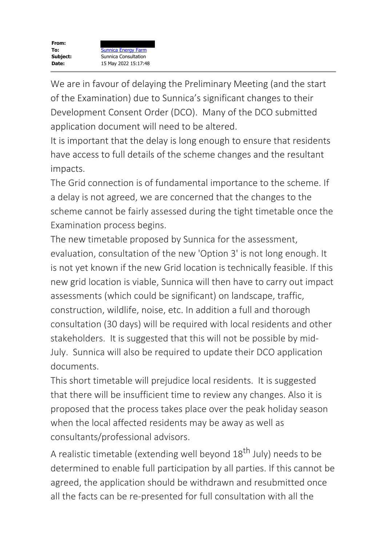We are in favour of delaying the Preliminary Meeting (and the start of the Examination) due to Sunnica's significant changes to their Development Consent Order (DCO). Many of the DCO submitted application document will need to be altered.

It is important that the delay is long enough to ensure that residents have access to full details of the scheme changes and the resultant impacts.

The Grid connection is of fundamental importance to the scheme. If a delay is not agreed, we are concerned that the changes to the scheme cannot be fairly assessed during the tight timetable once the Examination process begins.

The new timetable proposed by Sunnica for the assessment, evaluation, consultation of the new 'Option 3' is not long enough. It is not yet known if the new Grid location is technically feasible. If this new grid location is viable, Sunnica will then have to carry out impact assessments (which could be significant) on landscape, traffic, construction, wildlife, noise, etc. In addition a full and thorough consultation (30 days) will be required with local residents and other stakeholders. It is suggested that this will not be possible by mid-July. Sunnica will also be required to update their DCO application documents.

This short timetable will prejudice local residents. It is suggested that there will be insufficient time to review any changes. Also it is proposed that the process takes place over the peak holiday season when the local affected residents may be away as well as consultants/professional advisors.

A realistic timetable (extending well beyond 18<sup>th</sup> July) needs to be determined to enable full participation by all parties. If this cannot be agreed, the application should be withdrawn and resubmitted once all the facts can be re-presented for full consultation with all the